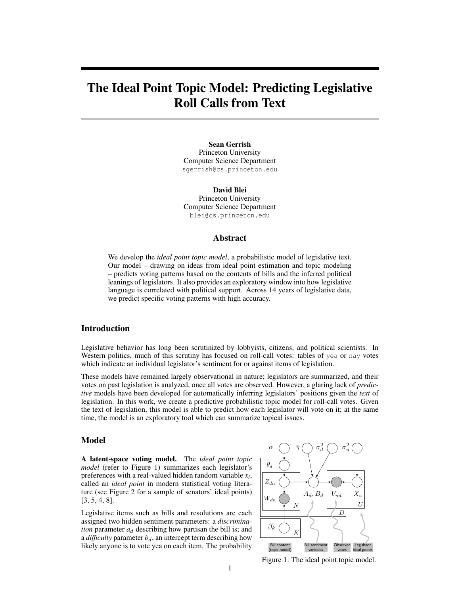# The Ideal Point Topic Model: Predicting Legislative Roll Calls from Text

Sean Gerrish Princeton University Computer Science Department sgerrish@cs.princeton.edu

> David Blei Princeton University

Computer Science Department blei@cs.princeton.edu

## Abstract

We develop the *ideal point topic model*, a probabilistic model of legislative text. Our model – drawing on ideas from ideal point estimation and topic modeling – predicts voting patterns based on the contents of bills and the inferred political leanings of legislators. It also provides an exploratory window into how legislative language is correlated with political support. Across 14 years of legislative data, we predict specific voting patterns with high accuracy.

## Introduction

Legislative behavior has long been scrutinized by lobbyists, citizens, and political scientists. In Western politics, much of this scrutiny has focused on roll-call votes: tables of yea or nay votes which indicate an individual legislator's sentiment for or against items of legislation.

These models have remained largely observational in nature; legislators are summarized, and their votes on past legislation is analyzed, once all votes are observed. However, a glaring lack of *predictive* models have been developed for automatically inferring legislators' positions given the *text* of legislation. In this work, we create a predictive probabilistic topic model for roll-call votes. Given the text of legislation, this model is able to predict how each legislator will vote on it; at the same time, the model is an exploratory tool which can summarize topical issues.

## Model

A latent-space voting model. The *ideal point topic model* (refer to Figure 1) summarizes each legislator's preferences with a real-valued hidden random variable *x<sup>i</sup>* , called an *ideal point* in modern statistical voting literature (see Figure 2 for a sample of senators' ideal points) [3, 5, 4, 8].

Legislative items such as bills and resolutions are each assigned two hidden sentiment parameters: a *discrimination* parameter  $a_d$  describing how partisan the bill is; and a *difficulty* parameter  $b_d$ , an intercept term describing how likely anyone is to vote yea on each item. The probability



Figure 1: The ideal point topic model.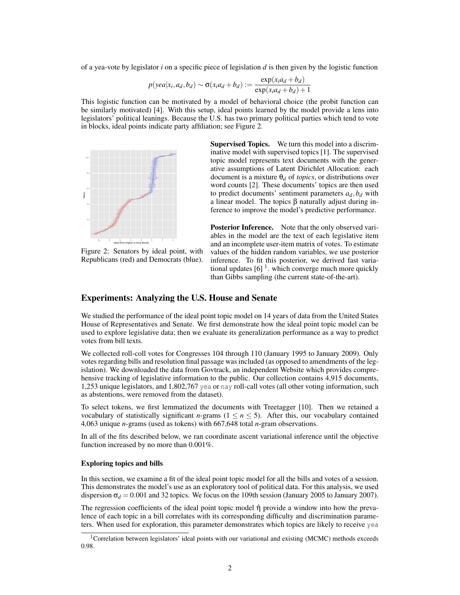of a yea-vote by legislator *i* on a specific piece of legislation *d* is then given by the logistic function

$$
p(yea|x_i, a_d, b_d) \sim \sigma(x_i a_d + b_d) := \frac{\exp(x_i a_d + b_d)}{\exp(x_i a_d + b_d) + 1}
$$

This logistic function can be motivated by a model of behavioral choice (the probit function can be similarly motivated) [4]. With this setup, ideal points learned by the model provide a lens into legislators' political leanings. Because the U.S. has two primary political parties which tend to vote in blocks, ideal points indicate party affiliation; see Figure 2.



Figure 2: Senators by ideal point, with Republicans (red) and Democrats (blue).

Supervised Topics. We turn this model into a discriminative model with supervised topics [1]. The supervised topic model represents text documents with the generative assumptions of Latent Dirichlet Allocation: each document is a mixture  $\theta_d$  of *topics*, or distributions over word counts [2]. These documents' topics are then used to predict documents' sentiment parameters  $a_d$ ,  $b_d$  with a linear model. The topics β naturally adjust during inference to improve the model's predictive performance.

Posterior Inference. Note that the only observed variables in the model are the text of each legislative item and an incomplete user-item matrix of votes. To estimate values of the hidden random variables, we use posterior inference. To fit this posterior, we derived fast variational updates  $[6]$ <sup>1</sup>. which converge much more quickly than Gibbs sampling (the current state-of-the-art).

## Experiments: Analyzing the U.S. House and Senate

We studied the performance of the ideal point topic model on 14 years of data from the United States House of Representatives and Senate. We first demonstrate how the ideal point topic model can be used to explore legislative data; then we evaluate its generalization performance as a way to predict votes from bill texts.

We collected roll-coll votes for Congresses 104 through 110 (January 1995 to January 2009). Only votes regarding bills and resolution final passage was included (as opposed to amendments of the legislation). We downloaded the data from Govtrack, an independent Website which provides comprehensive tracking of legislative information to the public. Our collection contains 4,915 documents, 1,253 unique legislators, and 1,802,767 yea or nay roll-call votes (all other voting information, such as abstentions, were removed from the dataset).

To select tokens, we first lemmatized the documents with Treetagger [10]. Then we retained a vocabulary of statistically significant *n*-grams ( $1 \le n \le 5$ ). After this, our vocabulary contained 4,063 unique *n*-grams (used as tokens) with 667,648 total *n*-gram observations.

In all of the fits described below, we ran coordinate ascent variational inference until the objective function increased by no more than 0.001%.

#### Exploring topics and bills

In this section, we examine a fit of the ideal point topic model for all the bills and votes of a session. This demonstrates the model's use as an exploratory tool of political data. For this analysis, we used dispersion  $\sigma_d = 0.001$  and 32 topics. We focus on the 109th session (January 2005 to January 2007).

The regression coefficients of the ideal point topic model  $\hat{\eta}$  provide a window into how the prevalence of each topic in a bill correlates with its corresponding difficulty and discrimination parameters. When used for exploration, this parameter demonstrates which topics are likely to receive yea

<sup>1</sup>Correlation between legislators' ideal points with our variational and existing (MCMC) methods exceeds 0.98.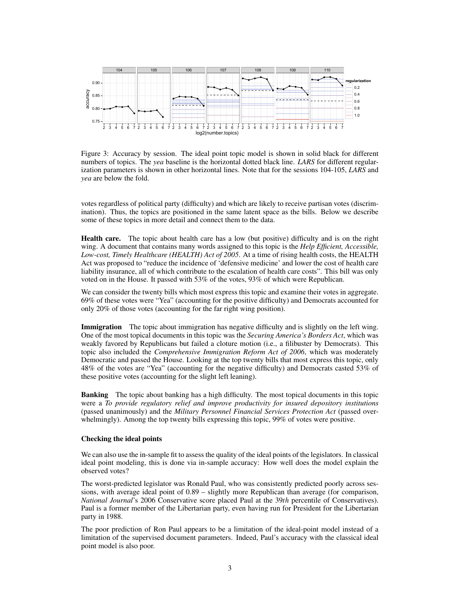

Figure 3: Accuracy by session. The ideal point topic model is shown in solid black for different numbers of topics. The *yea* baseline is the horizontal dotted black line. *LARS* for different regularization parameters is shown in other horizontal lines. Note that for the sessions 104-105, *LARS* and *yea* are below the fold.

votes regardless of political party (difficulty) and which are likely to receive partisan votes (discrimination). Thus, the topics are positioned in the same latent space as the bills. Below we describe some of these topics in more detail and connect them to the data.

Health care. The topic about health care has a low (but positive) difficulty and is on the right wing. A document that contains many words assigned to this topic is the *Help Efficient, Accessible, Low-cost, Timely Healthcare (HEALTH) Act of 2005*. At a time of rising health costs, the HEALTH Act was proposed to "reduce the incidence of 'defensive medicine' and lower the cost of health care liability insurance, all of which contribute to the escalation of health care costs". This bill was only voted on in the House. It passed with 53% of the votes, 93% of which were Republican.

We can consider the twenty bills which most express this topic and examine their votes in aggregate. 69% of these votes were "Yea" (accounting for the positive difficulty) and Democrats accounted for only 20% of those votes (accounting for the far right wing position).

Immigration The topic about immigration has negative difficulty and is slightly on the left wing. One of the most topical documents in this topic was the *Securing America's Borders Act*, which was weakly favored by Republicans but failed a cloture motion (i.e., a filibuster by Democrats). This topic also included the *Comprehensive Immigration Reform Act of 2006*, which was moderately Democratic and passed the House. Looking at the top twenty bills that most express this topic, only 48% of the votes are "Yea" (accounting for the negative difficulty) and Democrats casted 53% of these positive votes (accounting for the slight left leaning).

Banking The topic about banking has a high difficulty. The most topical documents in this topic were a *To provide regulatory relief and improve productivity for insured depository institutions* (passed unanimously) and the *Military Personnel Financial Services Protection Act* (passed overwhelmingly). Among the top twenty bills expressing this topic, 99% of votes were positive.

### Checking the ideal points

We can also use the in-sample fit to assess the quality of the ideal points of the legislators. In classical ideal point modeling, this is done via in-sample accuracy: How well does the model explain the observed votes?

The worst-predicted legislator was Ronald Paul, who was consistently predicted poorly across sessions, with average ideal point of 0.89 – slightly more Republican than average (for comparison, *National Journal*'s 2006 Conservative score placed Paul at the 39*th* percentile of Conservatives). Paul is a former member of the Libertarian party, even having run for President for the Libertarian party in 1988.

The poor prediction of Ron Paul appears to be a limitation of the ideal-point model instead of a limitation of the supervised document parameters. Indeed, Paul's accuracy with the classical ideal point model is also poor.